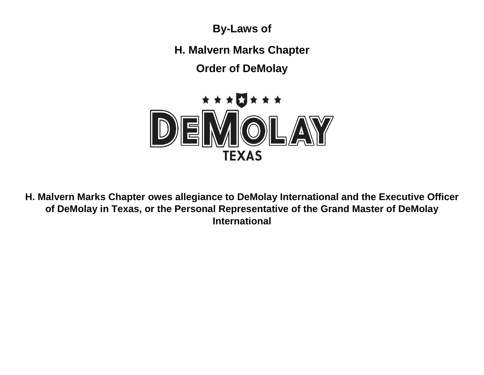**By-Laws of**

**H. Malvern Marks Chapter**

**Order of DeMolay**



**H. Malvern Marks Chapter owes allegiance to DeMolay International and the Executive Officer of DeMolay in Texas, or the Personal Representative of the Grand Master of DeMolay International**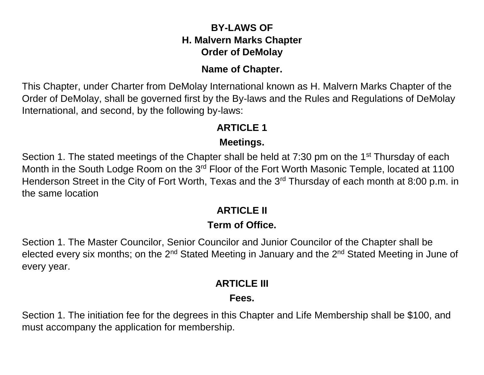### **BY-LAWS OF H. Malvern Marks Chapter Order of DeMolay**

#### **Name of Chapter.**

This Chapter, under Charter from DeMolay International known as H. Malvern Marks Chapter of the Order of DeMolay, shall be governed first by the By-laws and the Rules and Regulations of DeMolay International, and second, by the following by-laws:

### **ARTICLE 1**

### **Meetings.**

Section 1. The stated meetings of the Chapter shall be held at 7:30 pm on the 1<sup>st</sup> Thursday of each Month in the South Lodge Room on the 3<sup>rd</sup> Floor of the Fort Worth Masonic Temple, located at 1100 Henderson Street in the City of Fort Worth, Texas and the 3<sup>rd</sup> Thursday of each month at 8:00 p.m. in the same location

## **ARTICLE II**

### **Term of Office.**

Section 1. The Master Councilor, Senior Councilor and Junior Councilor of the Chapter shall be elected every six months; on the 2<sup>nd</sup> Stated Meeting in January and the 2<sup>nd</sup> Stated Meeting in June of every year.

## **ARTICLE III**

## **Fees.**

Section 1. The initiation fee for the degrees in this Chapter and Life Membership shall be \$100, and must accompany the application for membership.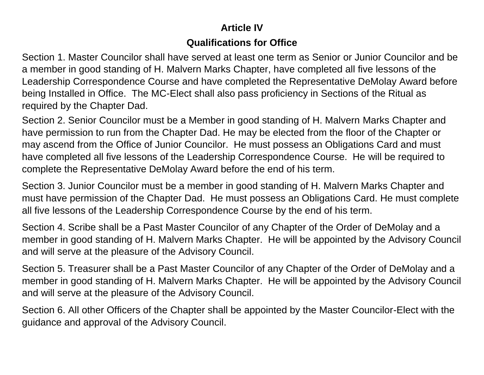## **Article IV**

#### **Qualifications for Office**

Section 1. Master Councilor shall have served at least one term as Senior or Junior Councilor and be a member in good standing of H. Malvern Marks Chapter, have completed all five lessons of the Leadership Correspondence Course and have completed the Representative DeMolay Award before being Installed in Office. The MC-Elect shall also pass proficiency in Sections of the Ritual as required by the Chapter Dad.

Section 2. Senior Councilor must be a Member in good standing of H. Malvern Marks Chapter and have permission to run from the Chapter Dad. He may be elected from the floor of the Chapter or may ascend from the Office of Junior Councilor. He must possess an Obligations Card and must have completed all five lessons of the Leadership Correspondence Course. He will be required to complete the Representative DeMolay Award before the end of his term.

Section 3. Junior Councilor must be a member in good standing of H. Malvern Marks Chapter and must have permission of the Chapter Dad. He must possess an Obligations Card. He must complete all five lessons of the Leadership Correspondence Course by the end of his term.

Section 4. Scribe shall be a Past Master Councilor of any Chapter of the Order of DeMolay and a member in good standing of H. Malvern Marks Chapter. He will be appointed by the Advisory Council and will serve at the pleasure of the Advisory Council.

Section 5. Treasurer shall be a Past Master Councilor of any Chapter of the Order of DeMolay and a member in good standing of H. Malvern Marks Chapter. He will be appointed by the Advisory Council and will serve at the pleasure of the Advisory Council.

Section 6. All other Officers of the Chapter shall be appointed by the Master Councilor-Elect with the guidance and approval of the Advisory Council.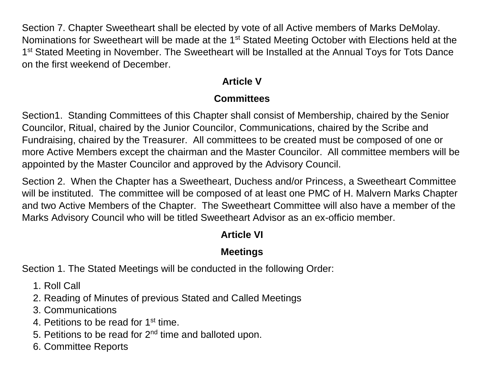Section 7. Chapter Sweetheart shall be elected by vote of all Active members of Marks DeMolay. Nominations for Sweetheart will be made at the 1<sup>st</sup> Stated Meeting October with Elections held at the 1<sup>st</sup> Stated Meeting in November. The Sweetheart will be Installed at the Annual Toys for Tots Dance on the first weekend of December.

# **Article V**

### **Committees**

Section1. Standing Committees of this Chapter shall consist of Membership, chaired by the Senior Councilor, Ritual, chaired by the Junior Councilor, Communications, chaired by the Scribe and Fundraising, chaired by the Treasurer. All committees to be created must be composed of one or more Active Members except the chairman and the Master Councilor. All committee members will be appointed by the Master Councilor and approved by the Advisory Council.

Section 2. When the Chapter has a Sweetheart, Duchess and/or Princess, a Sweetheart Committee will be instituted. The committee will be composed of at least one PMC of H. Malvern Marks Chapter and two Active Members of the Chapter. The Sweetheart Committee will also have a member of the Marks Advisory Council who will be titled Sweetheart Advisor as an ex-officio member.

## **Article VI**

### **Meetings**

Section 1. The Stated Meetings will be conducted in the following Order:

- 1. Roll Call
- 2. Reading of Minutes of previous Stated and Called Meetings
- 3. Communications
- 4. Petitions to be read for 1<sup>st</sup> time.
- 5. Petitions to be read for  $2<sup>nd</sup>$  time and balloted upon.
- 6. Committee Reports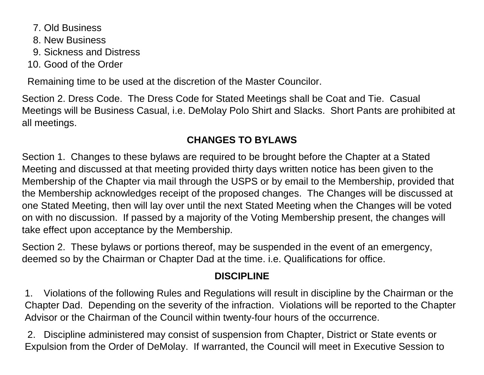- 7. Old Business
- 8. New Business
- 9. Sickness and Distress
- 10. Good of the Order

Remaining time to be used at the discretion of the Master Councilor.

Section 2. Dress Code. The Dress Code for Stated Meetings shall be Coat and Tie. Casual Meetings will be Business Casual, i.e. DeMolay Polo Shirt and Slacks. Short Pants are prohibited at all meetings.

## **CHANGES TO BYLAWS**

Section 1. Changes to these bylaws are required to be brought before the Chapter at a Stated Meeting and discussed at that meeting provided thirty days written notice has been given to the Membership of the Chapter via mail through the USPS or by email to the Membership, provided that the Membership acknowledges receipt of the proposed changes. The Changes will be discussed at one Stated Meeting, then will lay over until the next Stated Meeting when the Changes will be voted on with no discussion. If passed by a majority of the Voting Membership present, the changes will take effect upon acceptance by the Membership.

Section 2. These bylaws or portions thereof, may be suspended in the event of an emergency, deemed so by the Chairman or Chapter Dad at the time. i.e. Qualifications for office.

## **DISCIPLINE**

1. Violations of the following Rules and Regulations will result in discipline by the Chairman or the Chapter Dad. Depending on the severity of the infraction. Violations will be reported to the Chapter Advisor or the Chairman of the Council within twenty-four hours of the occurrence.

2. Discipline administered may consist of suspension from Chapter, District or State events or Expulsion from the Order of DeMolay. If warranted, the Council will meet in Executive Session to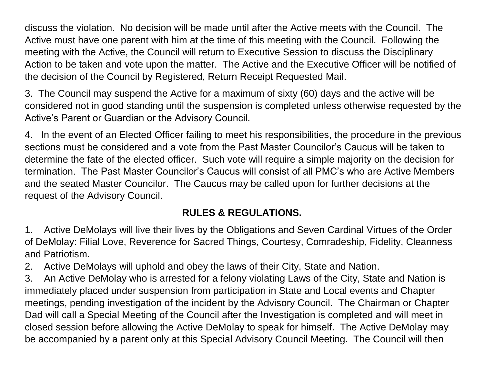discuss the violation. No decision will be made until after the Active meets with the Council. The Active must have one parent with him at the time of this meeting with the Council. Following the meeting with the Active, the Council will return to Executive Session to discuss the Disciplinary Action to be taken and vote upon the matter. The Active and the Executive Officer will be notified of the decision of the Council by Registered, Return Receipt Requested Mail.

3. The Council may suspend the Active for a maximum of sixty (60) days and the active will be considered not in good standing until the suspension is completed unless otherwise requested by the Active's Parent or Guardian or the Advisory Council.

4. In the event of an Elected Officer failing to meet his responsibilities, the procedure in the previous sections must be considered and a vote from the Past Master Councilor's Caucus will be taken to determine the fate of the elected officer. Such vote will require a simple majority on the decision for termination. The Past Master Councilor's Caucus will consist of all PMC's who are Active Members and the seated Master Councilor. The Caucus may be called upon for further decisions at the request of the Advisory Council.

#### **RULES & REGULATIONS.**

1. Active DeMolays will live their lives by the Obligations and Seven Cardinal Virtues of the Order of DeMolay: Filial Love, Reverence for Sacred Things, Courtesy, Comradeship, Fidelity, Cleanness and Patriotism.

2. Active DeMolays will uphold and obey the laws of their City, State and Nation.

3. An Active DeMolay who is arrested for a felony violating Laws of the City, State and Nation is immediately placed under suspension from participation in State and Local events and Chapter meetings, pending investigation of the incident by the Advisory Council. The Chairman or Chapter Dad will call a Special Meeting of the Council after the Investigation is completed and will meet in closed session before allowing the Active DeMolay to speak for himself. The Active DeMolay may be accompanied by a parent only at this Special Advisory Council Meeting. The Council will then